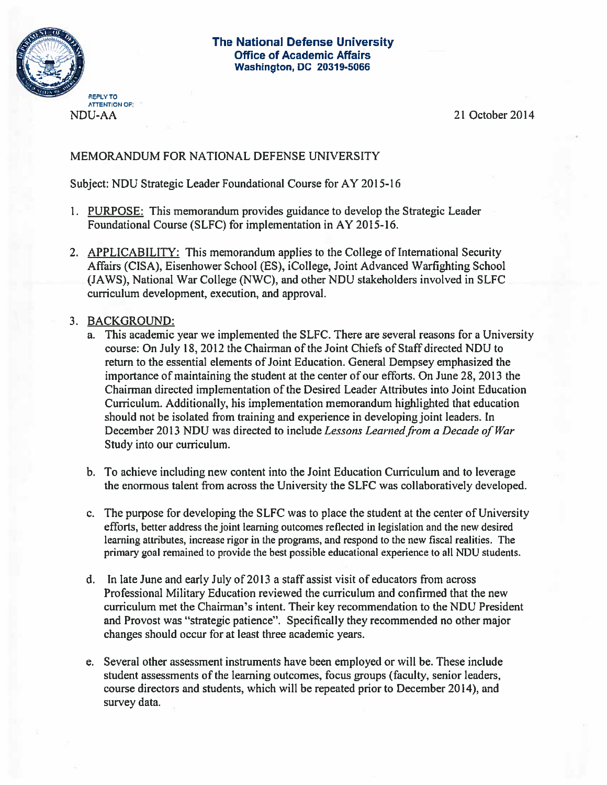

The National Defense University Office of Academic Affairs Washington, DC 20319-5066

NDU-AA 21 October 2014

## MEMORANDUM FOR NATIONAL DEFENSE UNIVERSITY

Subject: NDU Strategic Leader Foundational Course for AY 2015-16

- 1. PURPOSE: This memorandum provides guidance to develop the Strategic Leader Foundational Course (SLFC) for implementation in AY 2015-16.
- 2. APPLICABILITY: This memorandum applies to the College of International Security Affairs (CISA), Eisenhower School (ES), iCollege, Joint Advanced Warfighting School (JAWS), National War College (NWC), and other NDU stakeholders involved in SLFC curriculum development, execution, and approval.

## 3. BACKGROUND:

- a. This academic year we implemented the SLFC. There are several reasons for a University course: On July 18, 2012 the Chairman of the Joint Chiefs of Staff directed NDU to return to the essential elements of Joint Education. General Dempsey emphasized the importance of maintaining the student at the center of our efforts. On June 28, 2013 the Chairman directed implementation of the Desired Leader Attributes into Joint Education Curriculum. Additionally, his implementation memorandum highlighted that education should not be isolated from training and experience in developing joint leaders. In December 2013 NDU was directed to include Lessons Learned from a Decade of War Study into our curriculum.
- b. To achieve including new content into the Joint Education Curriculum and to leverage the enormous talent from across the University the SLFC was collaboratively developed.
- c. The purpose for developing the SLFC was to place the student at the center of University efforts, better address the joint learning outcomes reflected in legislation and the new desired learning attributes, increase rigor in the programs, and respond to the new fiscal realities. The primary goal remained to provide the best possible educational experience to all NDU students.
- d. In late June and early July of 2013 a staff assist visit of educators from across Professional Military Education reviewed the curriculum and confirmed that the new curriculum met the Chairman's intent. Their key recommendation to the NDU President and Provost was "strategic patience". Specifically they recommended no other major changes should occur for at least three academic years.
- e. Several other assessment instruments have been employed or will be. These include student assessments of the learning outcomes, focus groups (faculty, senior leaders, course directors and students, which will be repeated prior to December 2014), and survey data.